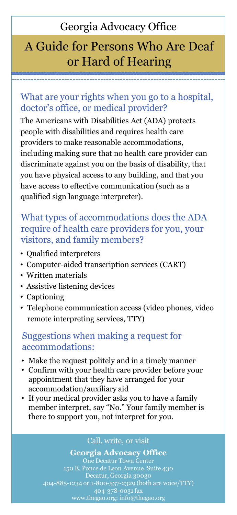## Georgia Advocacy Office

# A Guide for Persons Who Are Deaf or Hard of Hearing

### What are your rights when you go to a hospital, doctor's office, or medical provider?

The Americans with Disabilities Act (ADA) protects people with disabilities and requires health care providers to make reasonable accommodations, including making sure that no health care provider can discriminate against you on the basis of disability, that you have physical access to any building, and that you have access to effective communication (such as a qualified sign language interpreter).

### What types of accommodations does the ADA require of health care providers for you, your visitors, and family members?

- Qualified interpreters
- Computer-aided transcription services (CART)
- Written materials
- Assistive listening devices
- Captioning
- Telephone communication access (video phones, video remote interpreting services, TTY)

### Suggestions when making a request for accommodations:

- Make the request politely and in a timely manner
- Confirm with your health care provider before your appointment that they have arranged for your accommodation/auxiliary aid
- If your medical provider asks you to have a family member interpret, say "No." Your family member is there to support you, not interpret for you.

#### Call, write, or visit

#### **Georgia Advocacy Office**

One Decatur Town Center 150 E. Ponce de Leon Avenue, Suite 430 404-885-1234 or 1-800-537-2329 (both are voice/TTY) 404-378-0031 fax www.thegao.org; info@thegao.org